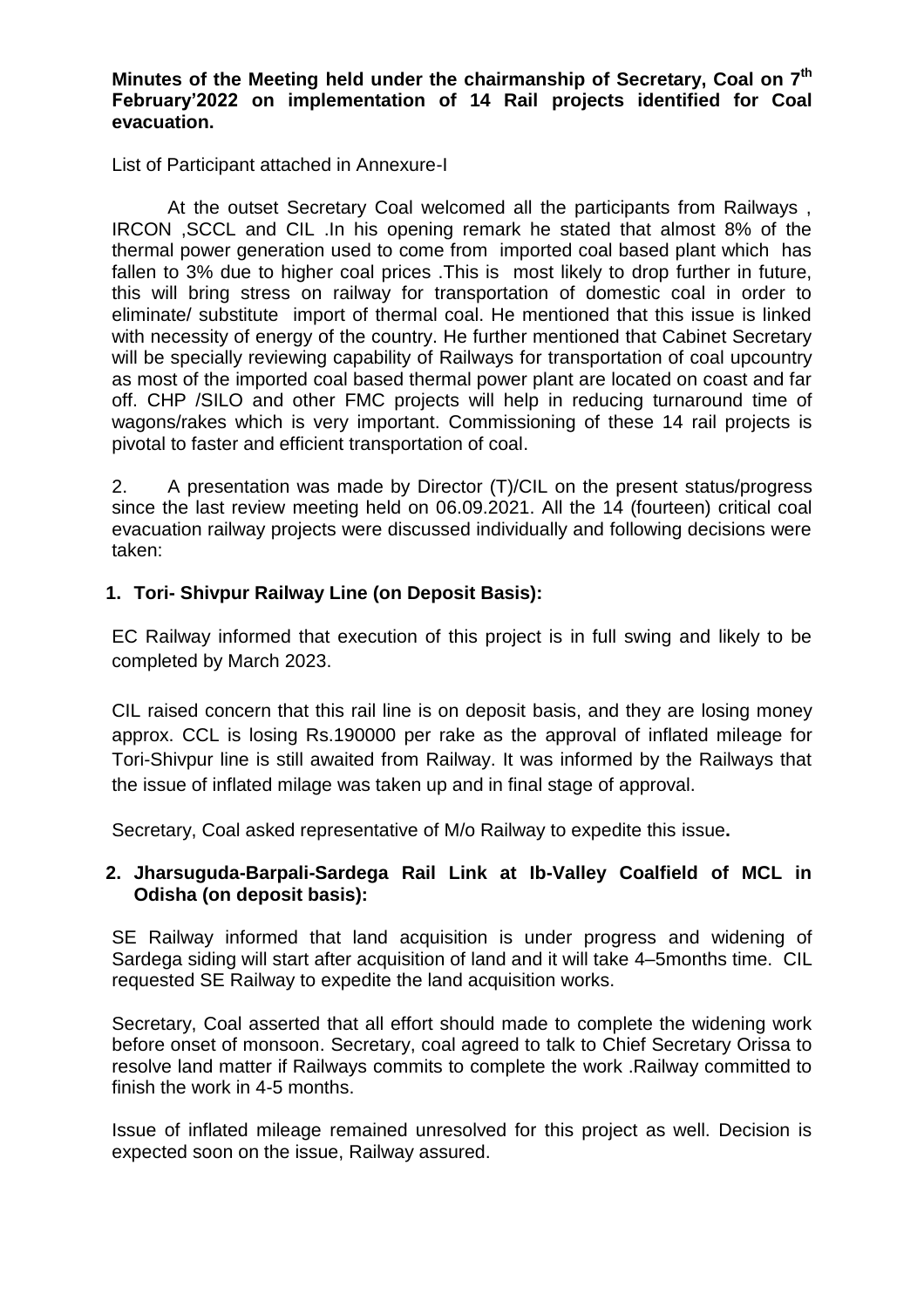**Minutes of the Meeting held under the chairmanship of Secretary, Coal on 7th February'2022 on implementation of 14 Rail projects identified for Coal evacuation.**

List of Participant attached in Annexure-I

At the outset Secretary Coal welcomed all the participants from Railways , IRCON ,SCCL and CIL .In his opening remark he stated that almost 8% of the thermal power generation used to come from imported coal based plant which has fallen to 3% due to higher coal prices .This is most likely to drop further in future, this will bring stress on railway for transportation of domestic coal in order to eliminate/ substitute import of thermal coal. He mentioned that this issue is linked with necessity of energy of the country. He further mentioned that Cabinet Secretary will be specially reviewing capability of Railways for transportation of coal upcountry as most of the imported coal based thermal power plant are located on coast and far off. CHP /SILO and other FMC projects will help in reducing turnaround time of wagons/rakes which is very important. Commissioning of these 14 rail projects is pivotal to faster and efficient transportation of coal.

2. A presentation was made by Director (T)/CIL on the present status/progress since the last review meeting held on 06.09.2021. All the 14 (fourteen) critical coal evacuation railway projects were discussed individually and following decisions were taken:

# **1. Tori- Shivpur Railway Line (on Deposit Basis):**

EC Railway informed that execution of this project is in full swing and likely to be completed by March 2023.

CIL raised concern that this rail line is on deposit basis, and they are losing money approx. CCL is losing Rs.190000 per rake as the approval of inflated mileage for Tori-Shivpur line is still awaited from Railway. It was informed by the Railways that the issue of inflated milage was taken up and in final stage of approval.

Secretary, Coal asked representative of M/o Railway to expedite this issue**.**

### **2. Jharsuguda-Barpali-Sardega Rail Link at Ib-Valley Coalfield of MCL in Odisha (on deposit basis):**

SE Railway informed that land acquisition is under progress and widening of Sardega siding will start after acquisition of land and it will take 4–5months time. CIL requested SE Railway to expedite the land acquisition works.

Secretary, Coal asserted that all effort should made to complete the widening work before onset of monsoon. Secretary, coal agreed to talk to Chief Secretary Orissa to resolve land matter if Railways commits to complete the work .Railway committed to finish the work in 4-5 months.

Issue of inflated mileage remained unresolved for this project as well. Decision is expected soon on the issue, Railway assured.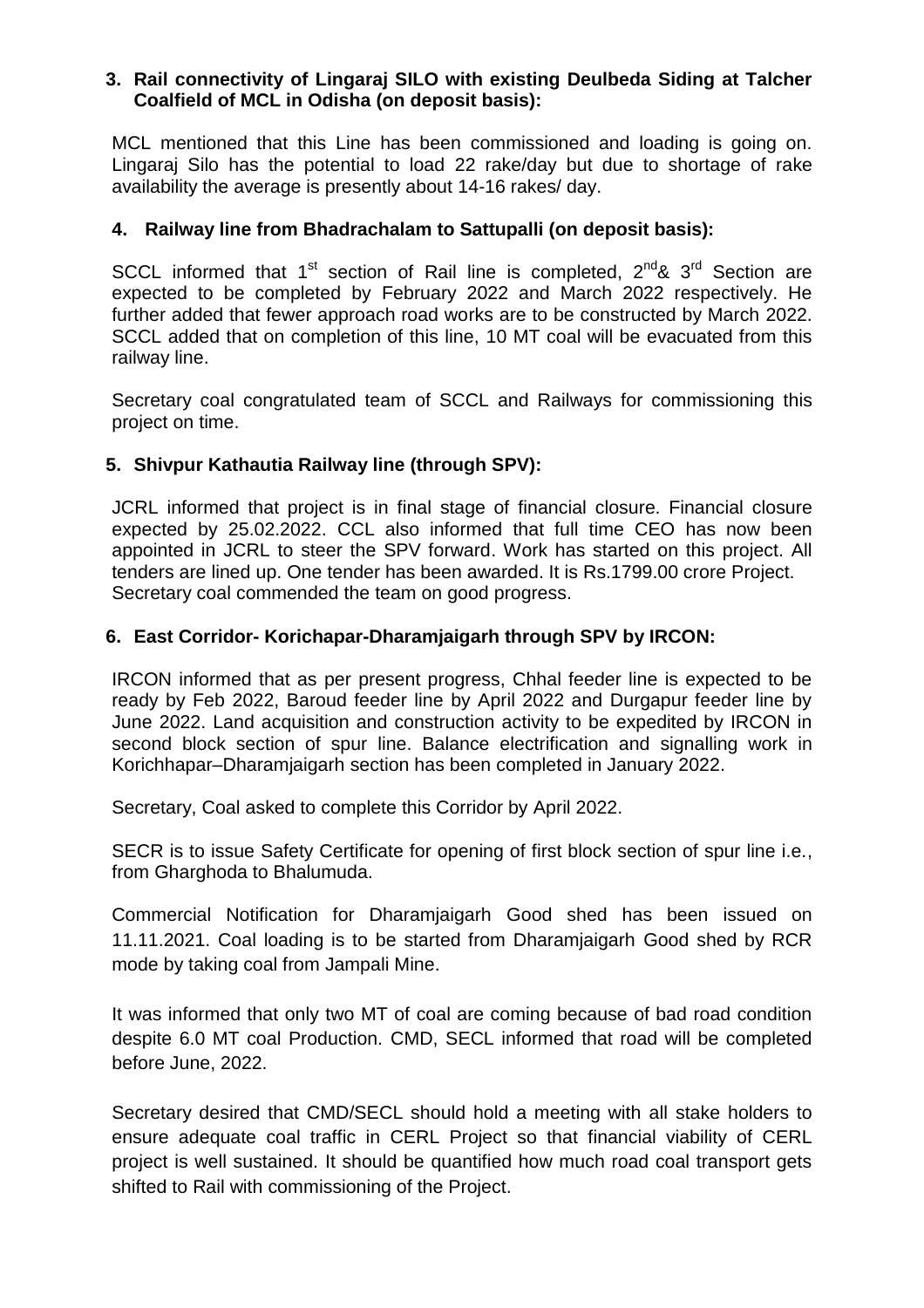### **3. Rail connectivity of Lingaraj SILO with existing Deulbeda Siding at Talcher Coalfield of MCL in Odisha (on deposit basis):**

MCL mentioned that this Line has been commissioned and loading is going on. Lingaraj Silo has the potential to load 22 rake/day but due to shortage of rake availability the average is presently about 14-16 rakes/ day.

### **4. Railway line from Bhadrachalam to Sattupalli (on deposit basis):**

SCCL informed that 1<sup>st</sup> section of Rail line is completed,  $2^{nd}$ &  $3^{rd}$  Section are expected to be completed by February 2022 and March 2022 respectively. He further added that fewer approach road works are to be constructed by March 2022. SCCL added that on completion of this line, 10 MT coal will be evacuated from this railway line.

Secretary coal congratulated team of SCCL and Railways for commissioning this project on time.

# **5. Shivpur Kathautia Railway line (through SPV):**

JCRL informed that project is in final stage of financial closure. Financial closure expected by 25.02.2022. CCL also informed that full time CEO has now been appointed in JCRL to steer the SPV forward. Work has started on this project. All tenders are lined up. One tender has been awarded. It is Rs.1799.00 crore Project. Secretary coal commended the team on good progress.

# **6. East Corridor- Korichapar-Dharamjaigarh through SPV by IRCON:**

IRCON informed that as per present progress, Chhal feeder line is expected to be ready by Feb 2022, Baroud feeder line by April 2022 and Durgapur feeder line by June 2022. Land acquisition and construction activity to be expedited by IRCON in second block section of spur line. Balance electrification and signalling work in Korichhapar–Dharamjaigarh section has been completed in January 2022.

Secretary, Coal asked to complete this Corridor by April 2022.

SECR is to issue Safety Certificate for opening of first block section of spur line i.e., from Gharghoda to Bhalumuda.

Commercial Notification for Dharamjaigarh Good shed has been issued on 11.11.2021. Coal loading is to be started from Dharamjaigarh Good shed by RCR mode by taking coal from Jampali Mine.

It was informed that only two MT of coal are coming because of bad road condition despite 6.0 MT coal Production. CMD, SECL informed that road will be completed before June, 2022.

Secretary desired that CMD/SECL should hold a meeting with all stake holders to ensure adequate coal traffic in CERL Project so that financial viability of CERL project is well sustained. It should be quantified how much road coal transport gets shifted to Rail with commissioning of the Project.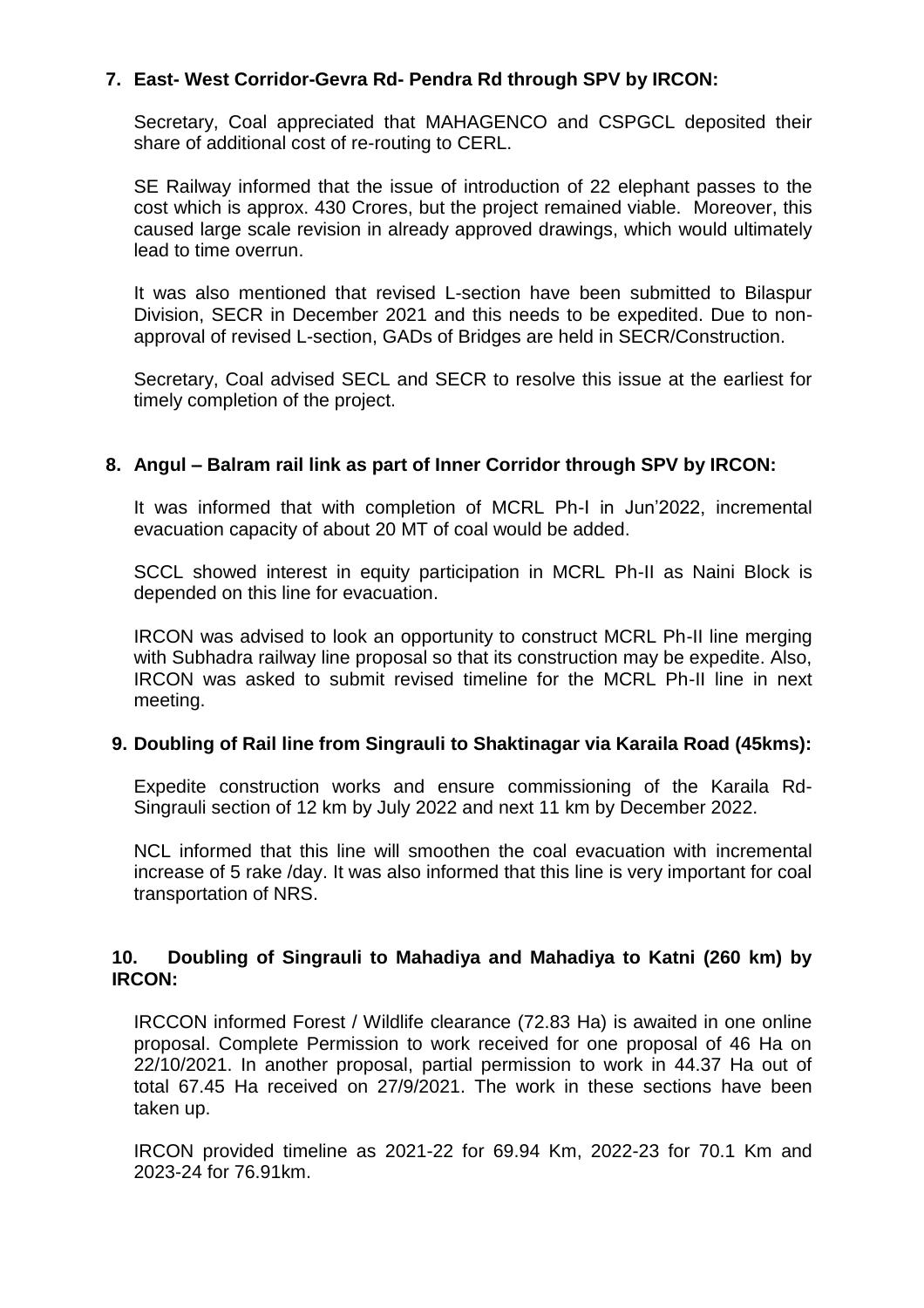# **7. East- West Corridor-Gevra Rd- Pendra Rd through SPV by IRCON:**

Secretary, Coal appreciated that MAHAGENCO and CSPGCL deposited their share of additional cost of re-routing to CERL.

SE Railway informed that the issue of introduction of 22 elephant passes to the cost which is approx. 430 Crores, but the project remained viable. Moreover, this caused large scale revision in already approved drawings, which would ultimately lead to time overrun.

It was also mentioned that revised L-section have been submitted to Bilaspur Division, SECR in December 2021 and this needs to be expedited. Due to nonapproval of revised L-section, GADs of Bridges are held in SECR/Construction.

Secretary, Coal advised SECL and SECR to resolve this issue at the earliest for timely completion of the project.

### **8. Angul – Balram rail link as part of Inner Corridor through SPV by IRCON:**

It was informed that with completion of MCRL Ph-I in Jun'2022, incremental evacuation capacity of about 20 MT of coal would be added.

SCCL showed interest in equity participation in MCRL Ph-II as Naini Block is depended on this line for evacuation.

IRCON was advised to look an opportunity to construct MCRL Ph-II line merging with Subhadra railway line proposal so that its construction may be expedite. Also, IRCON was asked to submit revised timeline for the MCRL Ph-II line in next meeting.

### **9. Doubling of Rail line from Singrauli to Shaktinagar via Karaila Road (45kms):**

Expedite construction works and ensure commissioning of the Karaila Rd-Singrauli section of 12 km by July 2022 and next 11 km by December 2022.

NCL informed that this line will smoothen the coal evacuation with incremental increase of 5 rake /day. It was also informed that this line is very important for coal transportation of NRS.

### **10. Doubling of Singrauli to Mahadiya and Mahadiya to Katni (260 km) by IRCON:**

IRCCON informed Forest / Wildlife clearance (72.83 Ha) is awaited in one online proposal. Complete Permission to work received for one proposal of 46 Ha on 22/10/2021. In another proposal, partial permission to work in 44.37 Ha out of total 67.45 Ha received on 27/9/2021. The work in these sections have been taken up.

IRCON provided timeline as 2021-22 for 69.94 Km, 2022-23 for 70.1 Km and 2023-24 for 76.91km.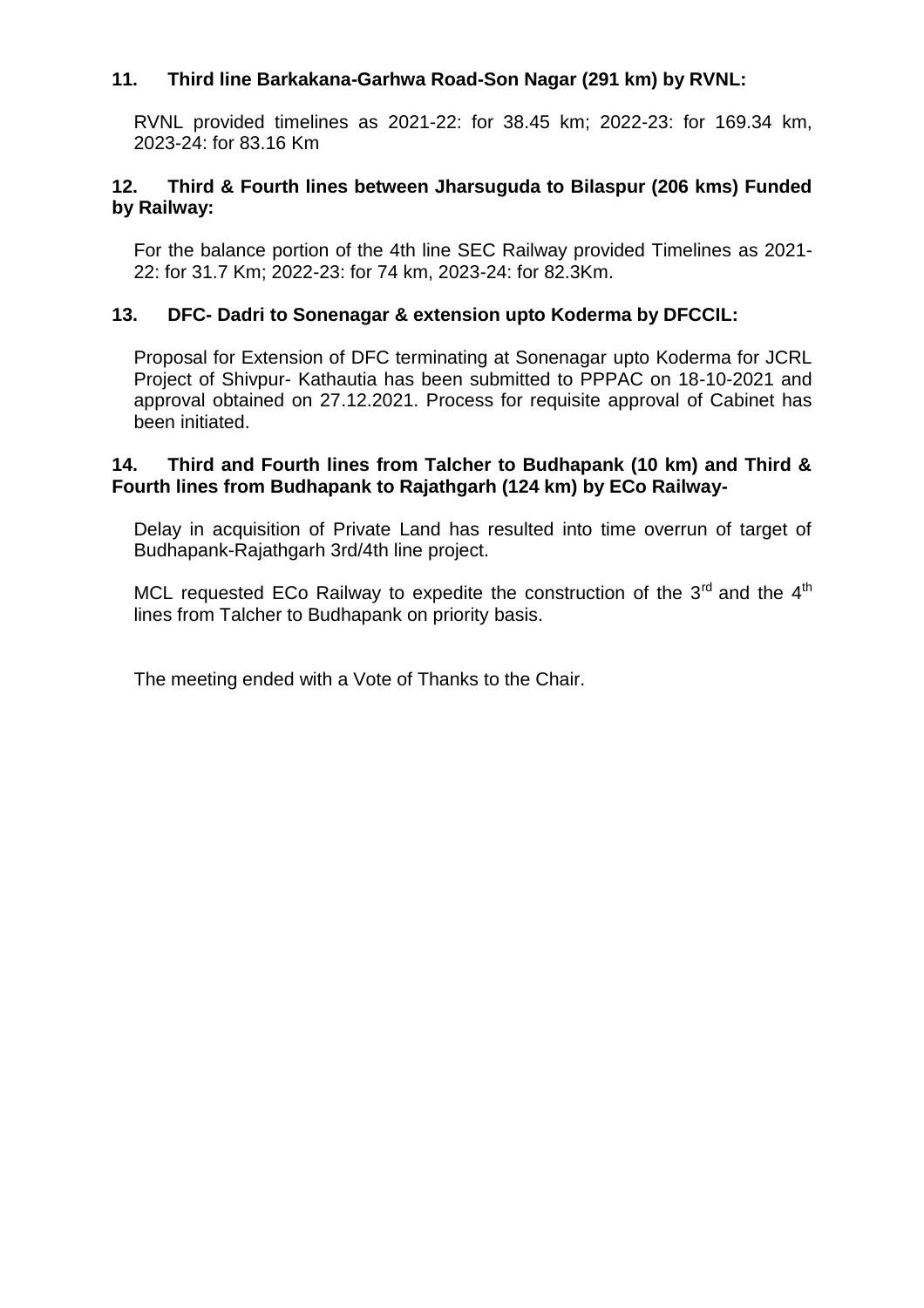# **11. Third line Barkakana-Garhwa Road-Son Nagar (291 km) by RVNL:**

RVNL provided timelines as 2021-22: for 38.45 km; 2022-23: for 169.34 km, 2023-24: for 83.16 Km

### **12. Third & Fourth lines between Jharsuguda to Bilaspur (206 kms) Funded by Railway:**

For the balance portion of the 4th line SEC Railway provided Timelines as 2021- 22: for 31.7 Km; 2022-23: for 74 km, 2023-24: for 82.3Km.

# **13. DFC- Dadri to Sonenagar & extension upto Koderma by DFCCIL:**

Proposal for Extension of DFC terminating at Sonenagar upto Koderma for JCRL Project of Shivpur- Kathautia has been submitted to PPPAC on 18-10-2021 and approval obtained on 27.12.2021. Process for requisite approval of Cabinet has been initiated.

#### **14. Third and Fourth lines from Talcher to Budhapank (10 km) and Third & Fourth lines from Budhapank to Rajathgarh (124 km) by ECo Railway-**

Delay in acquisition of Private Land has resulted into time overrun of target of Budhapank-Rajathgarh 3rd/4th line project.

MCL requested ECo Railway to expedite the construction of the  $3<sup>rd</sup>$  and the  $4<sup>th</sup>$ lines from Talcher to Budhapank on priority basis.

The meeting ended with a Vote of Thanks to the Chair.